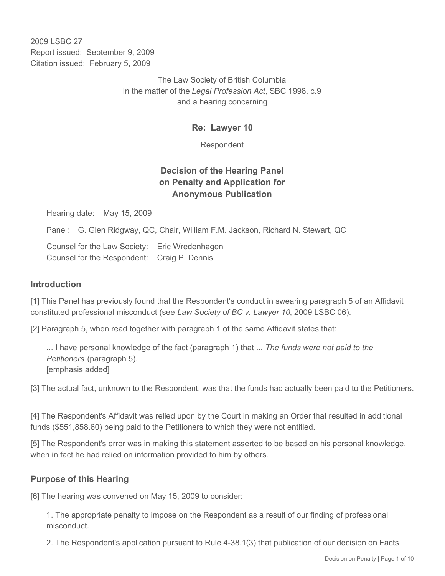2009 LSBC 27 Report issued: September 9, 2009 Citation issued: February 5, 2009

> The Law Society of British Columbia In the matter of the *Legal Profession Act*, SBC 1998, c.9 and a hearing concerning

> > **Re: Lawyer 10**

Respondent

# **Decision of the Hearing Panel on Penalty and Application for Anonymous Publication**

Hearing date: May 15, 2009

Panel: G. Glen Ridgway, QC, Chair, William F.M. Jackson, Richard N. Stewart, QC

Counsel for the Law Society: Eric Wredenhagen Counsel for the Respondent: Craig P. Dennis

#### **Introduction**

[1] This Panel has previously found that the Respondent's conduct in swearing paragraph 5 of an Affidavit constituted professional misconduct (see *Law Society of BC v. Lawyer 10*, 2009 LSBC 06).

[2] Paragraph 5, when read together with paragraph 1 of the same Affidavit states that:

... I have personal knowledge of the fact (paragraph 1) that ... *The funds were not paid to the Petitioners* (paragraph 5). [emphasis added]

[3] The actual fact, unknown to the Respondent, was that the funds had actually been paid to the Petitioners.

[4] The Respondent's Affidavit was relied upon by the Court in making an Order that resulted in additional funds (\$551,858.60) being paid to the Petitioners to which they were not entitled.

[5] The Respondent's error was in making this statement asserted to be based on his personal knowledge, when in fact he had relied on information provided to him by others.

# **Purpose of this Hearing**

[6] The hearing was convened on May 15, 2009 to consider:

1. The appropriate penalty to impose on the Respondent as a result of our finding of professional misconduct.

2. The Respondent's application pursuant to Rule 4-38.1(3) that publication of our decision on Facts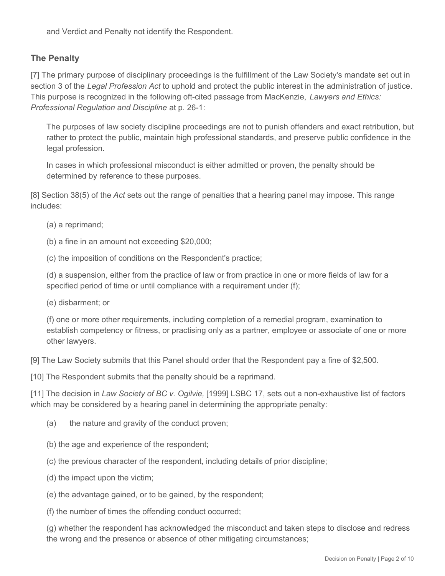and Verdict and Penalty not identify the Respondent.

# **The Penalty**

[7] The primary purpose of disciplinary proceedings is the fulfillment of the Law Society's mandate set out in section 3 of the *Legal Profession Act* to uphold and protect the public interest in the administration of justice. This purpose is recognized in the following oft-cited passage from MacKenzie, *Lawyers and Ethics: Professional Regulation and Discipline* at p. 26-1:

The purposes of law society discipline proceedings are not to punish offenders and exact retribution, but rather to protect the public, maintain high professional standards, and preserve public confidence in the legal profession.

In cases in which professional misconduct is either admitted or proven, the penalty should be determined by reference to these purposes.

[8] Section 38(5) of the *Act* sets out the range of penalties that a hearing panel may impose. This range includes:

(a) a reprimand;

(b) a fine in an amount not exceeding \$20,000;

(c) the imposition of conditions on the Respondent's practice;

(d) a suspension, either from the practice of law or from practice in one or more fields of law for a specified period of time or until compliance with a requirement under (f);

(e) disbarment; or

(f) one or more other requirements, including completion of a remedial program, examination to establish competency or fitness, or practising only as a partner, employee or associate of one or more other lawyers.

[9] The Law Society submits that this Panel should order that the Respondent pay a fine of \$2,500.

[10] The Respondent submits that the penalty should be a reprimand.

[11] The decision in *Law Society of BC v. Ogilvie,* [1999] LSBC 17, sets out a non-exhaustive list of factors which may be considered by a hearing panel in determining the appropriate penalty:

- (a) the nature and gravity of the conduct proven;
- (b) the age and experience of the respondent;
- (c) the previous character of the respondent, including details of prior discipline;
- (d) the impact upon the victim;
- (e) the advantage gained, or to be gained, by the respondent;
- (f) the number of times the offending conduct occurred;

(g) whether the respondent has acknowledged the misconduct and taken steps to disclose and redress the wrong and the presence or absence of other mitigating circumstances;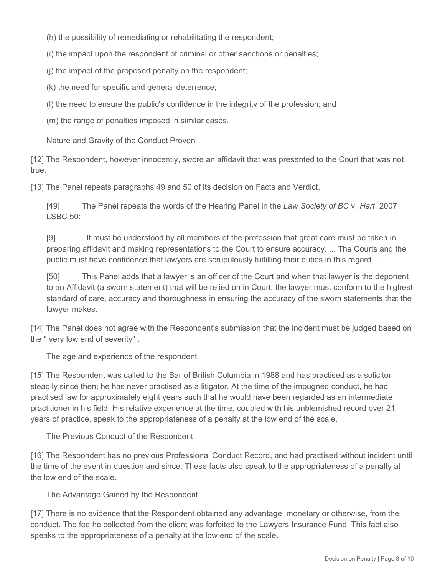(h) the possibility of remediating or rehabilitating the respondent;

(i) the impact upon the respondent of criminal or other sanctions or penalties;

(j) the impact of the proposed penalty on the respondent;

(k) the need for specific and general deterrence;

(l) the need to ensure the public's confidence in the integrity of the profession; and

(m) the range of penalties imposed in similar cases.

Nature and Gravity of the Conduct Proven

[12] The Respondent, however innocently, swore an affidavit that was presented to the Court that was not true.

[13] The Panel repeats paragraphs 49 and 50 of its decision on Facts and Verdict.

[49] The Panel repeats the words of the Hearing Panel in the *Law Society of BC* v. *Hart*, 2007 LSBC 50:

[9] It must be understood by all members of the profession that great care must be taken in preparing affidavit and making representations to the Court to ensure accuracy. ... The Courts and the public must have confidence that lawyers are scrupulously fulfilling their duties in this regard. ...

[50] This Panel adds that a lawyer is an officer of the Court and when that lawyer is the deponent to an Affidavit (a sworn statement) that will be relied on in Court, the lawyer must conform to the highest standard of care, accuracy and thoroughness in ensuring the accuracy of the sworn statements that the lawyer makes.

[14] The Panel does not agree with the Respondent's submission that the incident must be judged based on the " very low end of severity" .

The age and experience of the respondent

[15] The Respondent was called to the Bar of British Columbia in 1988 and has practised as a solicitor steadily since then; he has never practised as a litigator. At the time of the impugned conduct, he had practised law for approximately eight years such that he would have been regarded as an intermediate practitioner in his field. His relative experience at the time, coupled with his unblemished record over 21 years of practice, speak to the appropriateness of a penalty at the low end of the scale.

The Previous Conduct of the Respondent

[16] The Respondent has no previous Professional Conduct Record, and had practised without incident until the time of the event in question and since. These facts also speak to the appropriateness of a penalty at the low end of the scale.

The Advantage Gained by the Respondent

[17] There is no evidence that the Respondent obtained any advantage, monetary or otherwise, from the conduct. The fee he collected from the client was forfeited to the Lawyers Insurance Fund. This fact also speaks to the appropriateness of a penalty at the low end of the scale.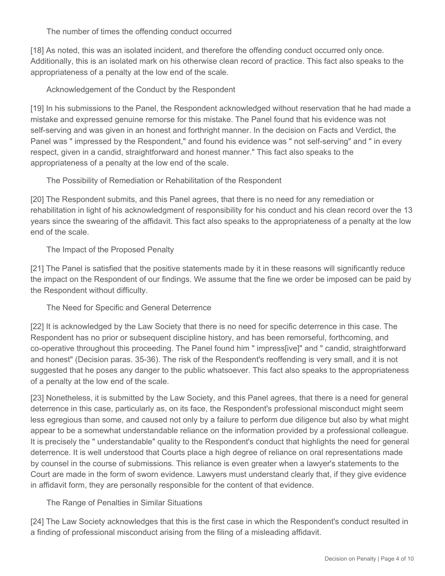The number of times the offending conduct occurred

[18] As noted, this was an isolated incident, and therefore the offending conduct occurred only once. Additionally, this is an isolated mark on his otherwise clean record of practice. This fact also speaks to the appropriateness of a penalty at the low end of the scale.

### Acknowledgement of the Conduct by the Respondent

[19] In his submissions to the Panel, the Respondent acknowledged without reservation that he had made a mistake and expressed genuine remorse for this mistake. The Panel found that his evidence was not self-serving and was given in an honest and forthright manner. In the decision on Facts and Verdict, the Panel was " impressed by the Respondent," and found his evidence was " not self-serving" and " in every respect, given in a candid, straightforward and honest manner." This fact also speaks to the appropriateness of a penalty at the low end of the scale.

The Possibility of Remediation or Rehabilitation of the Respondent

[20] The Respondent submits, and this Panel agrees, that there is no need for any remediation or rehabilitation in light of his acknowledgment of responsibility for his conduct and his clean record over the 13 years since the swearing of the affidavit. This fact also speaks to the appropriateness of a penalty at the low end of the scale.

The Impact of the Proposed Penalty

[21] The Panel is satisfied that the positive statements made by it in these reasons will significantly reduce the impact on the Respondent of our findings. We assume that the fine we order be imposed can be paid by the Respondent without difficulty.

The Need for Specific and General Deterrence

[22] It is acknowledged by the Law Society that there is no need for specific deterrence in this case. The Respondent has no prior or subsequent discipline history, and has been remorseful, forthcoming, and co-operative throughout this proceeding. The Panel found him " impress[ive]" and " candid, straightforward and honest" (Decision paras. 35-36). The risk of the Respondent's reoffending is very small, and it is not suggested that he poses any danger to the public whatsoever. This fact also speaks to the appropriateness of a penalty at the low end of the scale.

[23] Nonetheless, it is submitted by the Law Society, and this Panel agrees, that there is a need for general deterrence in this case, particularly as, on its face, the Respondent's professional misconduct might seem less egregious than some, and caused not only by a failure to perform due diligence but also by what might appear to be a somewhat understandable reliance on the information provided by a professional colleague. It is precisely the " understandable" quality to the Respondent's conduct that highlights the need for general deterrence. It is well understood that Courts place a high degree of reliance on oral representations made by counsel in the course of submissions. This reliance is even greater when a lawyer's statements to the Court are made in the form of sworn evidence. Lawyers must understand clearly that, if they give evidence in affidavit form, they are personally responsible for the content of that evidence.

The Range of Penalties in Similar Situations

[24] The Law Society acknowledges that this is the first case in which the Respondent's conduct resulted in a finding of professional misconduct arising from the filing of a misleading affidavit.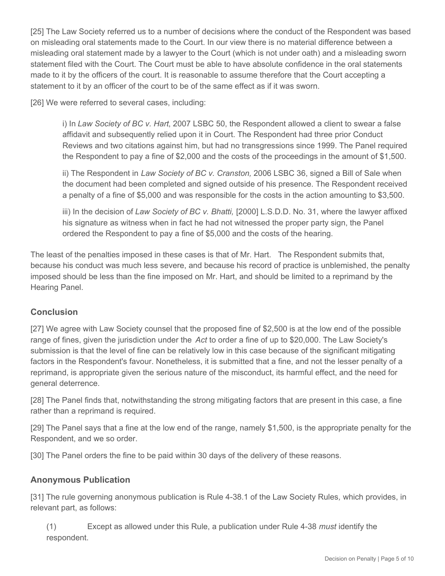[25] The Law Society referred us to a number of decisions where the conduct of the Respondent was based on misleading oral statements made to the Court. In our view there is no material difference between a misleading oral statement made by a lawyer to the Court (which is not under oath) and a misleading sworn statement filed with the Court. The Court must be able to have absolute confidence in the oral statements made to it by the officers of the court. It is reasonable to assume therefore that the Court accepting a statement to it by an officer of the court to be of the same effect as if it was sworn.

[26] We were referred to several cases, including:

i) In *Law Society of BC v. Hart*, 2007 LSBC 50, the Respondent allowed a client to swear a false affidavit and subsequently relied upon it in Court. The Respondent had three prior Conduct Reviews and two citations against him, but had no transgressions since 1999. The Panel required the Respondent to pay a fine of \$2,000 and the costs of the proceedings in the amount of \$1,500.

ii) The Respondent in *Law Society of BC v. Cranston,* 2006 LSBC 36, signed a Bill of Sale when the document had been completed and signed outside of his presence. The Respondent received a penalty of a fine of \$5,000 and was responsible for the costs in the action amounting to \$3,500.

iii) In the decision of *Law Society of BC v. Bhatti,* [2000] L.S.D.D. No. 31, where the lawyer affixed his signature as witness when in fact he had not witnessed the proper party sign, the Panel ordered the Respondent to pay a fine of \$5,000 and the costs of the hearing.

The least of the penalties imposed in these cases is that of Mr. Hart. The Respondent submits that, because his conduct was much less severe, and because his record of practice is unblemished, the penalty imposed should be less than the fine imposed on Mr. Hart, and should be limited to a reprimand by the Hearing Panel.

# **Conclusion**

[27] We agree with Law Society counsel that the proposed fine of \$2,500 is at the low end of the possible range of fines, given the jurisdiction under the *Act* to order a fine of up to \$20,000. The Law Society's submission is that the level of fine can be relatively low in this case because of the significant mitigating factors in the Respondent's favour. Nonetheless, it is submitted that a fine, and not the lesser penalty of a reprimand, is appropriate given the serious nature of the misconduct, its harmful effect, and the need for general deterrence.

[28] The Panel finds that, notwithstanding the strong mitigating factors that are present in this case, a fine rather than a reprimand is required.

[29] The Panel says that a fine at the low end of the range, namely \$1,500, is the appropriate penalty for the Respondent, and we so order.

[30] The Panel orders the fine to be paid within 30 days of the delivery of these reasons.

# **Anonymous Publication**

[31] The rule governing anonymous publication is Rule 4-38.1 of the Law Society Rules*,* which provides, in relevant part, as follows:

(1) Except as allowed under this Rule, a publication under Rule 4-38 *must* identify the respondent.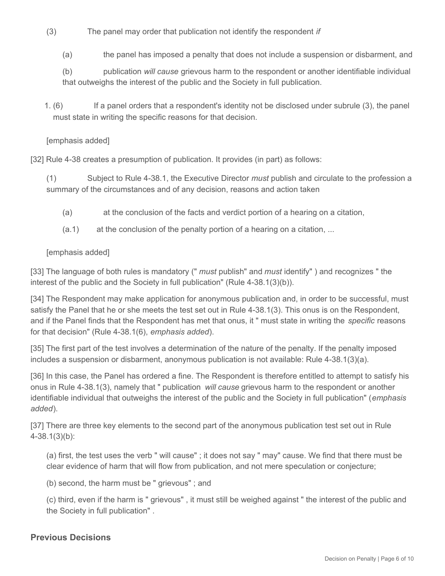- (3) The panel may order that publication not identify the respondent *if*
	- (a) the panel has imposed a penalty that does not include a suspension or disbarment, and
	- (b) publication *will cause* grievous harm to the respondent or another identifiable individual that outweighs the interest of the public and the Society in full publication.
- If a panel orders that a respondent's identity not be disclosed under subrule (3), the panel must state in writing the specific reasons for that decision. 1. $(6)$

#### [emphasis added]

[32] Rule 4-38 creates a presumption of publication. It provides (in part) as follows:

(1) Subject to Rule 4-38.1, the Executive Director *must* publish and circulate to the profession a summary of the circumstances and of any decision, reasons and action taken

- (a) at the conclusion of the facts and verdict portion of a hearing on a citation,
- (a.1) at the conclusion of the penalty portion of a hearing on a citation, ...

#### [emphasis added]

[33] The language of both rules is mandatory (" *must* publish" and *must* identify" ) and recognizes " the interest of the public and the Society in full publication" (Rule 4-38.1(3)(b)).

[34] The Respondent may make application for anonymous publication and, in order to be successful, must satisfy the Panel that he or she meets the test set out in Rule 4-38.1(3). This onus is on the Respondent, and if the Panel finds that the Respondent has met that onus, it " must state in writing the *specific* reasons for that decision" (Rule 4-38.1(6), *emphasis added*).

[35] The first part of the test involves a determination of the nature of the penalty. If the penalty imposed includes a suspension or disbarment, anonymous publication is not available: Rule 4-38.1(3)(a).

[36] In this case, the Panel has ordered a fine. The Respondent is therefore entitled to attempt to satisfy his onus in Rule 4-38.1(3), namely that " publication *will cause* grievous harm to the respondent or another identifiable individual that outweighs the interest of the public and the Society in full publication" (*emphasis added*).

[37] There are three key elements to the second part of the anonymous publication test set out in Rule 4-38.1(3)(b):

(a) first, the test uses the verb " will cause" ; it does not say " may" cause. We find that there must be clear evidence of harm that will flow from publication, and not mere speculation or conjecture;

(b) second, the harm must be " grievous" ; and

(c) third, even if the harm is " grievous" , it must still be weighed against " the interest of the public and the Society in full publication" .

#### **Previous Decisions**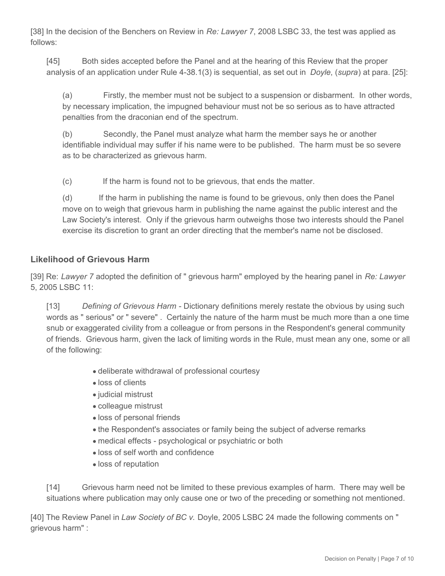[38] In the decision of the Benchers on Review in *Re: Lawyer 7*, 2008 LSBC 33, the test was applied as follows:

[45] Both sides accepted before the Panel and at the hearing of this Review that the proper analysis of an application under Rule 4-38.1(3) is sequential, as set out in *Doyle*, (*supra*) at para. [25]:

(a) Firstly, the member must not be subject to a suspension or disbarment. In other words, by necessary implication, the impugned behaviour must not be so serious as to have attracted penalties from the draconian end of the spectrum.

(b) Secondly, the Panel must analyze what harm the member says he or another identifiable individual may suffer if his name were to be published. The harm must be so severe as to be characterized as grievous harm.

(c) If the harm is found not to be grievous, that ends the matter.

(d) If the harm in publishing the name is found to be grievous, only then does the Panel move on to weigh that grievous harm in publishing the name against the public interest and the Law Society's interest. Only if the grievous harm outweighs those two interests should the Panel exercise its discretion to grant an order directing that the member's name not be disclosed.

# **Likelihood of Grievous Harm**

[39] Re: *Lawyer 7* adopted the definition of " grievous harm" employed by the hearing panel in *Re: Lawyer*  5, 2005 LSBC 11:

[13] *Defining of Grievous Harm* - Dictionary definitions merely restate the obvious by using such words as " serious" or " severe" . Certainly the nature of the harm must be much more than a one time snub or exaggerated civility from a colleague or from persons in the Respondent's general community of friends. Grievous harm, given the lack of limiting words in the Rule, must mean any one, some or all of the following:

- deliberate withdrawal of professional courtesy
- loss of clients
- judicial mistrust
- colleague mistrust
- loss of personal friends
- the Respondent's associates or family being the subject of adverse remarks
- medical effects psychological or psychiatric or both
- loss of self worth and confidence
- loss of reputation

[14] Grievous harm need not be limited to these previous examples of harm. There may well be situations where publication may only cause one or two of the preceding or something not mentioned.

[40] The Review Panel in *Law Society of BC v.* Doyle, 2005 LSBC 24 made the following comments on " grievous harm" :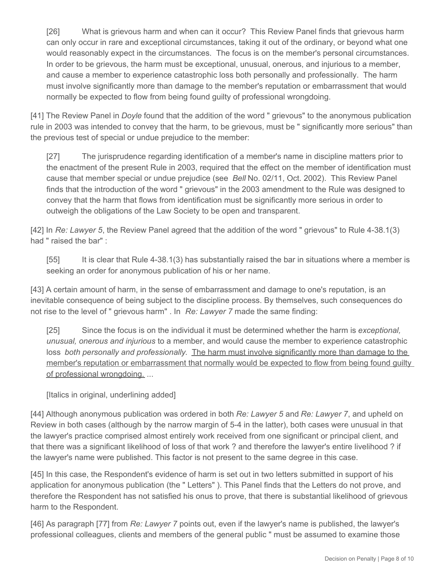[26] What is grievous harm and when can it occur? This Review Panel finds that grievous harm can only occur in rare and exceptional circumstances, taking it out of the ordinary, or beyond what one would reasonably expect in the circumstances. The focus is on the member's personal circumstances. In order to be grievous, the harm must be exceptional, unusual, onerous, and injurious to a member, and cause a member to experience catastrophic loss both personally and professionally. The harm must involve significantly more than damage to the member's reputation or embarrassment that would normally be expected to flow from being found guilty of professional wrongdoing.

[41] The Review Panel in *Doyle* found that the addition of the word " grievous" to the anonymous publication rule in 2003 was intended to convey that the harm, to be grievous, must be " significantly more serious" than the previous test of special or undue prejudice to the member:

[27] The jurisprudence regarding identification of a member's name in discipline matters prior to the enactment of the present Rule in 2003, required that the effect on the member of identification must cause that member special or undue prejudice (see *Bell* No. 02/11, Oct. 2002). This Review Panel finds that the introduction of the word " grievous" in the 2003 amendment to the Rule was designed to convey that the harm that flows from identification must be significantly more serious in order to outweigh the obligations of the Law Society to be open and transparent.

[42] In *Re: Lawyer 5*, the Review Panel agreed that the addition of the word " grievous" to Rule 4-38.1(3) had " raised the bar" :

[55] It is clear that Rule 4-38.1(3) has substantially raised the bar in situations where a member is seeking an order for anonymous publication of his or her name.

[43] A certain amount of harm, in the sense of embarrassment and damage to one's reputation, is an inevitable consequence of being subject to the discipline process. By themselves, such consequences do not rise to the level of " grievous harm" . In *Re: Lawyer 7* made the same finding:

[25] Since the focus is on the individual it must be determined whether the harm is *exceptional, unusual, onerous and injurious* to a member, and would cause the member to experience catastrophic loss *both personally and professionally*. The harm must involve significantly more than damage to the member's reputation or embarrassment that normally would be expected to flow from being found guilty of professional wrongdoing. ...

[Italics in original, underlining added]

[44] Although anonymous publication was ordered in both *Re: Lawyer 5* and *Re: Lawyer 7*, and upheld on Review in both cases (although by the narrow margin of 5-4 in the latter), both cases were unusual in that the lawyer's practice comprised almost entirely work received from one significant or principal client, and that there was a significant likelihood of loss of that work ? and therefore the lawyer's entire livelihood ? if the lawyer's name were published. This factor is not present to the same degree in this case.

[45] In this case, the Respondent's evidence of harm is set out in two letters submitted in support of his application for anonymous publication (the " Letters" ). This Panel finds that the Letters do not prove, and therefore the Respondent has not satisfied his onus to prove, that there is substantial likelihood of grievous harm to the Respondent.

[46] As paragraph [77] from *Re: Lawyer 7* points out, even if the lawyer's name is published, the lawyer's professional colleagues, clients and members of the general public " must be assumed to examine those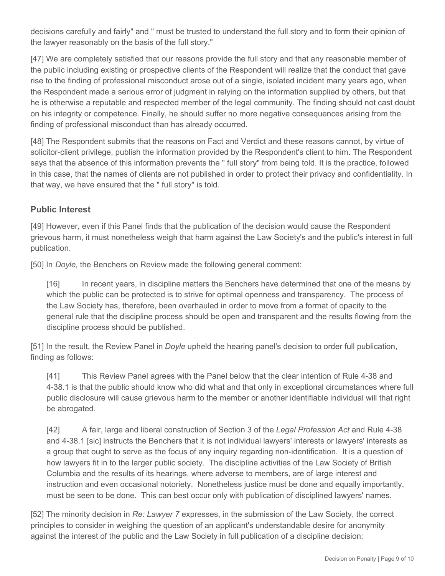decisions carefully and fairly" and " must be trusted to understand the full story and to form their opinion of the lawyer reasonably on the basis of the full story."

[47] We are completely satisfied that our reasons provide the full story and that any reasonable member of the public including existing or prospective clients of the Respondent will realize that the conduct that gave rise to the finding of professional misconduct arose out of a single, isolated incident many years ago, when the Respondent made a serious error of judgment in relying on the information supplied by others, but that he is otherwise a reputable and respected member of the legal community. The finding should not cast doubt on his integrity or competence. Finally, he should suffer no more negative consequences arising from the finding of professional misconduct than has already occurred.

[48] The Respondent submits that the reasons on Fact and Verdict and these reasons cannot, by virtue of solicitor-client privilege, publish the information provided by the Respondent's client to him. The Respondent says that the absence of this information prevents the " full story" from being told. It is the practice, followed in this case, that the names of clients are not published in order to protect their privacy and confidentiality. In that way, we have ensured that the " full story" is told.

# **Public Interest**

[49] However, even if this Panel finds that the publication of the decision would cause the Respondent grievous harm, it must nonetheless weigh that harm against the Law Society's and the public's interest in full publication.

[50] In *Doyle*, the Benchers on Review made the following general comment:

[16] In recent years, in discipline matters the Benchers have determined that one of the means by which the public can be protected is to strive for optimal openness and transparency. The process of the Law Society has, therefore, been overhauled in order to move from a format of opacity to the general rule that the discipline process should be open and transparent and the results flowing from the discipline process should be published.

[51] In the result, the Review Panel in *Doyle* upheld the hearing panel's decision to order full publication, finding as follows:

[41] This Review Panel agrees with the Panel below that the clear intention of Rule 4-38 and 4-38.1 is that the public should know who did what and that only in exceptional circumstances where full public disclosure will cause grievous harm to the member or another identifiable individual will that right be abrogated.

[42] A fair, large and liberal construction of Section 3 of the *Legal Profession Act* and Rule 4-38 and 4-38.1 [sic] instructs the Benchers that it is not individual lawyers' interests or lawyers' interests as a group that ought to serve as the focus of any inquiry regarding non-identification. It is a question of how lawyers fit in to the larger public society. The discipline activities of the Law Society of British Columbia and the results of its hearings, where adverse to members, are of large interest and instruction and even occasional notoriety. Nonetheless justice must be done and equally importantly, must be seen to be done. This can best occur only with publication of disciplined lawyers' names.

[52] The minority decision in *Re: Lawyer 7* expresses, in the submission of the Law Society, the correct principles to consider in weighing the question of an applicant's understandable desire for anonymity against the interest of the public and the Law Society in full publication of a discipline decision: